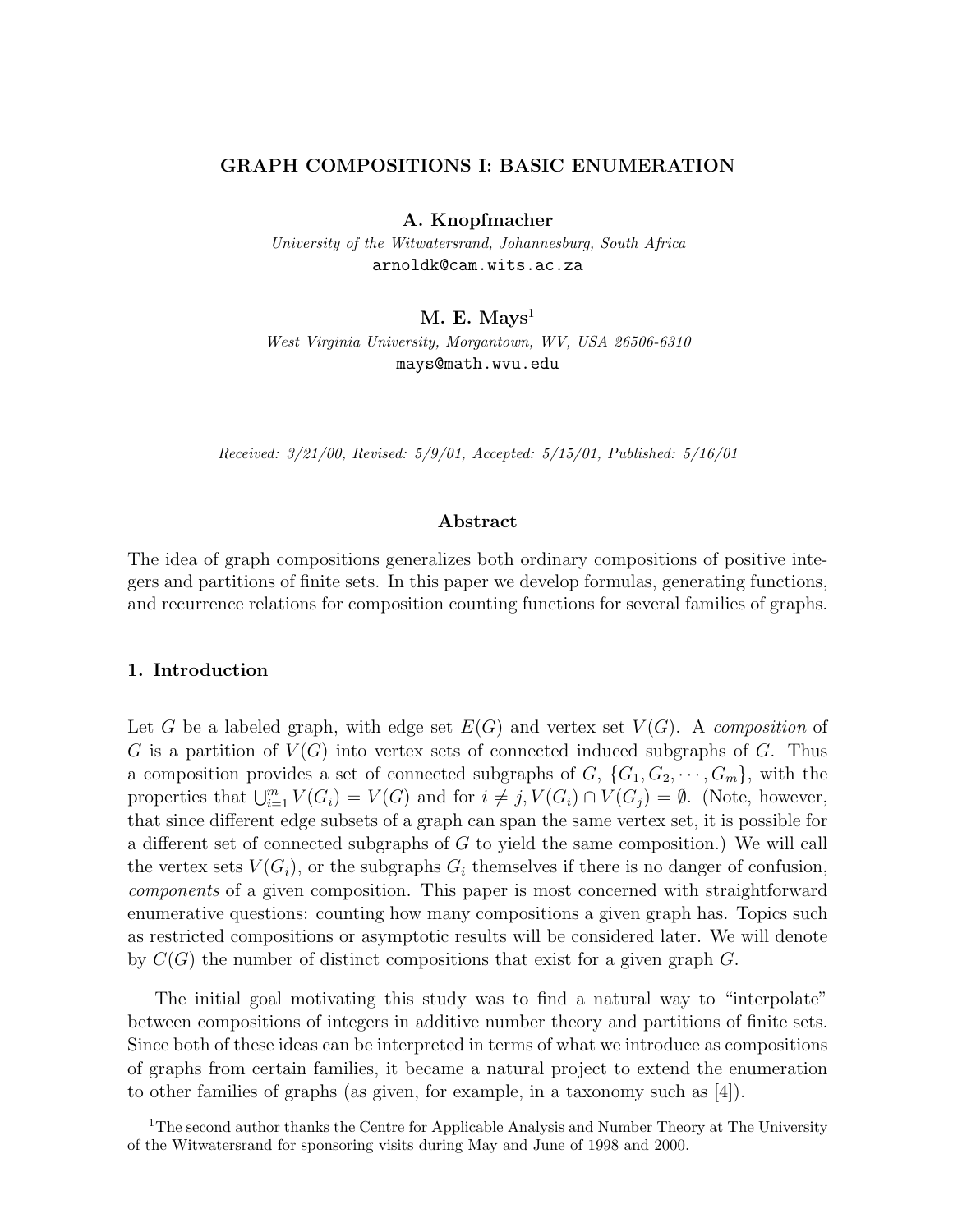# **GRAPH COMPOSITIONS I: BASIC ENUMERATION**

**A. Knopfmacher**

University of the Witwatersrand, Johannesburg, South Africa arnoldk@cam.wits.ac.za

**M. E. Mays**<sup>1</sup>

West Virginia University, Morgantown, WV, USA 26506-6310 mays@math.wvu.edu

Received: 3/21/00, Revised: 5/9/01, Accepted: 5/15/01, Published: 5/16/01

# **Abstract**

The idea of graph compositions generalizes both ordinary compositions of positive integers and partitions of finite sets. In this paper we develop formulas, generating functions, and recurrence relations for composition counting functions for several families of graphs.

# **1. Introduction**

Let G be a labeled graph, with edge set  $E(G)$  and vertex set  $V(G)$ . A composition of G is a partition of  $V(G)$  into vertex sets of connected induced subgraphs of G. Thus a composition provides a set of connected subgraphs of  $G, \{G_1, G_2, \dots, G_m\}$ , with the properties that  $\bigcup_{i=1}^{m} V(G_i) = V(G)$  and for  $i \neq j, V(G_i) \cap V(G_j) = \emptyset$ . (Note, however, that since different edge subsets of a graph can span the same vertex set, it is possible for a different set of connected subgraphs of G to yield the same composition.) We will call the vertex sets  $V(G_i)$ , or the subgraphs  $G_i$  themselves if there is no danger of confusion, components of a given composition. This paper is most concerned with straightforward enumerative questions: counting how many compositions a given graph has. Topics such as restricted compositions or asymptotic results will be considered later. We will denote by  $C(G)$  the number of distinct compositions that exist for a given graph G.

The initial goal motivating this study was to find a natural way to "interpolate" between compositions of integers in additive number theory and partitions of finite sets. Since both of these ideas can be interpreted in terms of what we introduce as compositions of graphs from certain families, it became a natural project to extend the enumeration to other families of graphs (as given, for example, in a taxonomy such as [4]).

<sup>&</sup>lt;sup>1</sup>The second author thanks the Centre for Applicable Analysis and Number Theory at The University of the Witwatersrand for sponsoring visits during May and June of 1998 and 2000.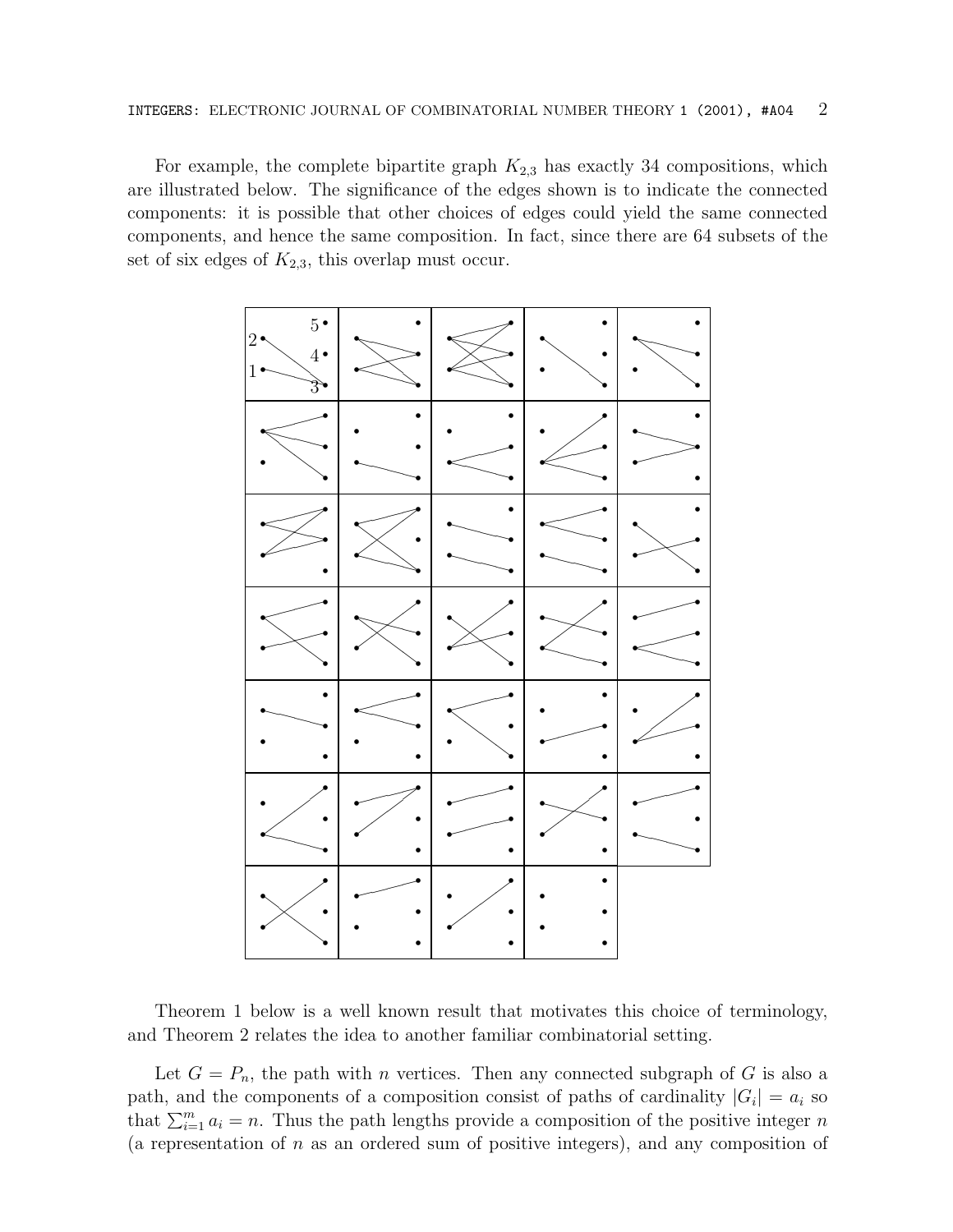For example, the complete bipartite graph  $K_{2,3}$  has exactly 34 compositions, which are illustrated below. The significance of the edges shown is to indicate the connected components: it is possible that other choices of edges could yield the same connected components, and hence the same composition. In fact, since there are 64 subsets of the set of six edges of  $K_{2,3}$ , this overlap must occur.



Theorem 1 below is a well known result that motivates this choice of terminology, and Theorem 2 relates the idea to another familiar combinatorial setting.

Let  $G = P_n$ , the path with *n* vertices. Then any connected subgraph of G is also a path, and the components of a composition consist of paths of cardinality  $|G_i| = a_i$  so that  $\sum_{i=1}^{m} a_i = n$ . Thus the path lengths provide a composition of the positive integer n (a representation of  $n$  as an ordered sum of positive integers), and any composition of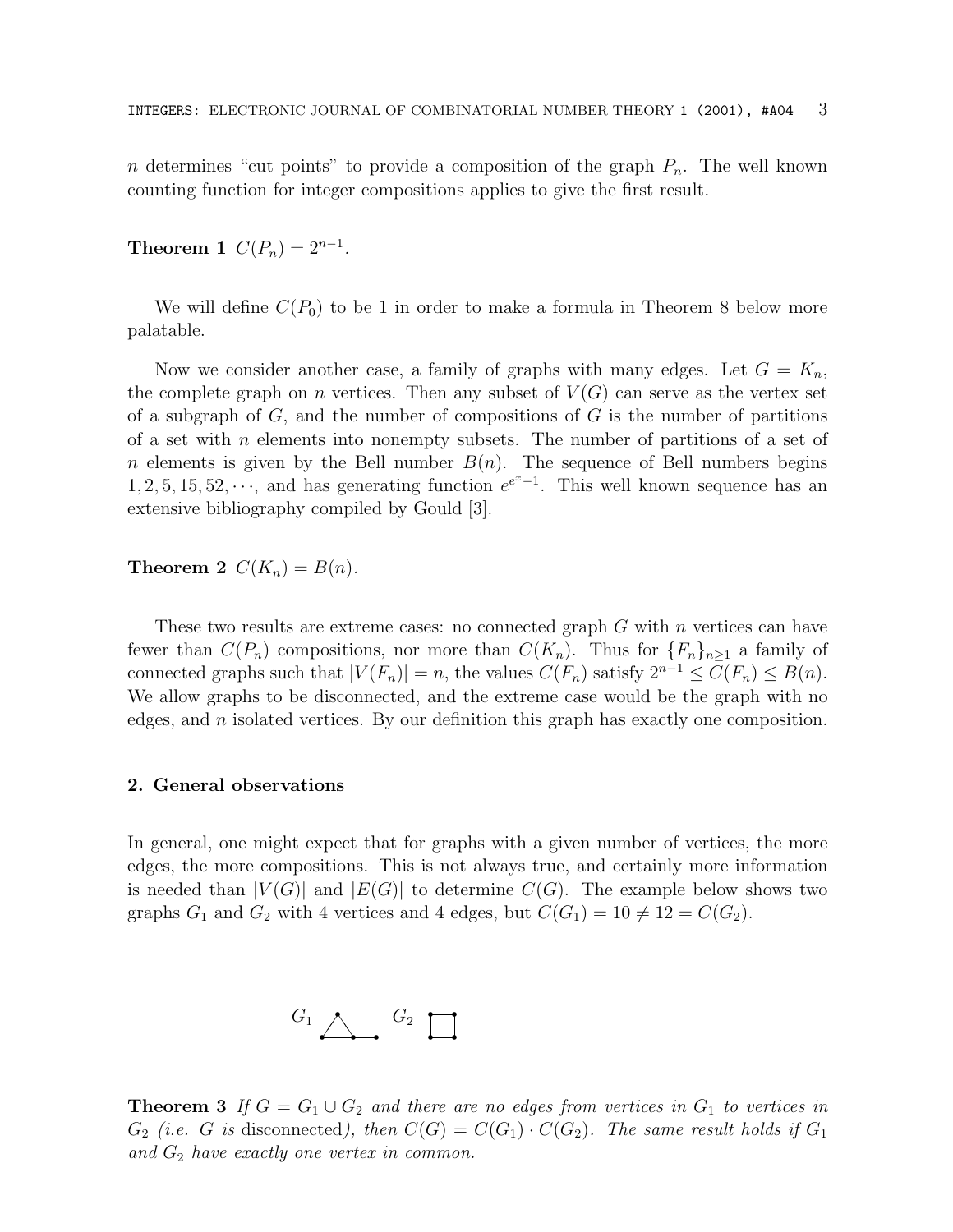n determines "cut points" to provide a composition of the graph  $P_n$ . The well known counting function for integer compositions applies to give the first result.

**Theorem 1**  $C(P_n)=2^{n-1}$ .

We will define  $C(P_0)$  to be 1 in order to make a formula in Theorem 8 below more palatable.

Now we consider another case, a family of graphs with many edges. Let  $G = K_n$ , the complete graph on *n* vertices. Then any subset of  $V(G)$  can serve as the vertex set of a subgraph of  $G$ , and the number of compositions of  $G$  is the number of partitions of a set with n elements into nonempty subsets. The number of partitions of a set of n elements is given by the Bell number  $B(n)$ . The sequence of Bell numbers begins 1, 2, 5, 15, 52,  $\cdots$ , and has generating function  $e^{e^x-1}$ . This well known sequence has an extensive bibliography compiled by Gould [3].

**Theorem 2**  $C(K_n) = B(n)$ .

These two results are extreme cases: no connected graph  $G$  with  $n$  vertices can have fewer than  $C(P_n)$  compositions, nor more than  $C(K_n)$ . Thus for  ${F_n}_{n>1}$  a family of connected graphs such that  $|V(F_n)| = n$ , the values  $C(F_n)$  satisfy  $2^{n-1} \leq C(F_n) \leq B(n)$ . We allow graphs to be disconnected, and the extreme case would be the graph with no edges, and  $n$  isolated vertices. By our definition this graph has exactly one composition.

# **2. General observations**

In general, one might expect that for graphs with a given number of vertices, the more edges, the more compositions. This is not always true, and certainly more information is needed than  $|V(G)|$  and  $|E(G)|$  to determine  $C(G)$ . The example below shows two graphs  $G_1$  and  $G_2$  with 4 vertices and 4 edges, but  $C(G_1) = 10 \neq 12 = C(G_2)$ .

$$
\begin{array}{c}\nG_1 \,\, & G_2 \,\, \Box\n\end{array}
$$

**Theorem 3** If  $G = G_1 \cup G_2$  and there are no edges from vertices in  $G_1$  to vertices in  $G_2$  (i.e. G is disconnected), then  $C(G) = C(G_1) \cdot C(G_2)$ . The same result holds if  $G_1$ and  $G_2$  have exactly one vertex in common.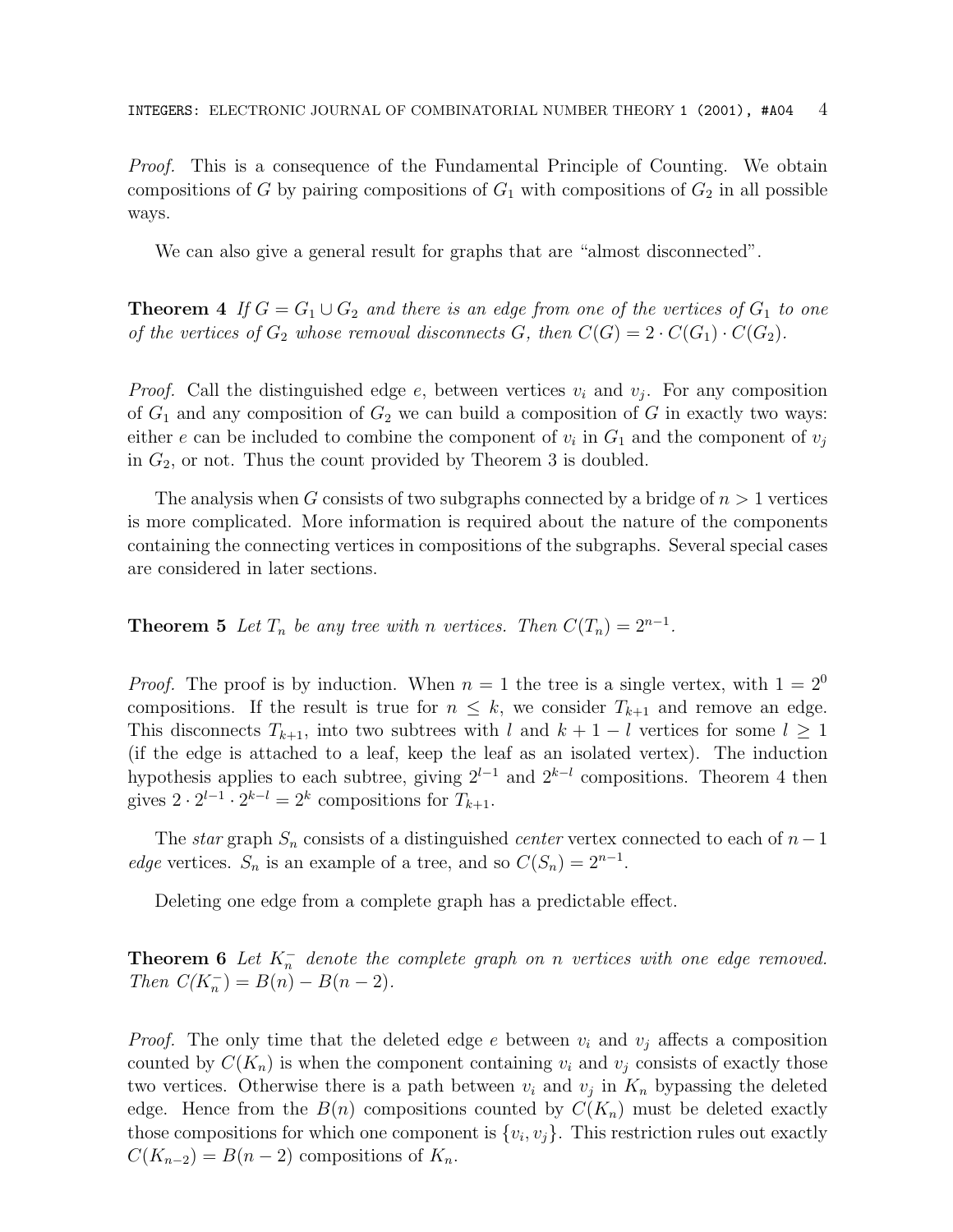*Proof.* This is a consequence of the Fundamental Principle of Counting. We obtain compositions of G by pairing compositions of  $G_1$  with compositions of  $G_2$  in all possible ways.

We can also give a general result for graphs that are "almost disconnected".

**Theorem 4** If  $G = G_1 \cup G_2$  and there is an edge from one of the vertices of  $G_1$  to one of the vertices of  $G_2$  whose removal disconnects G, then  $C(G)=2 \cdot C(G_1) \cdot C(G_2)$ .

*Proof.* Call the distinguished edge e, between vertices  $v_i$  and  $v_j$ . For any composition of  $G_1$  and any composition of  $G_2$  we can build a composition of G in exactly two ways: either e can be included to combine the component of  $v_i$  in  $G_1$  and the component of  $v_j$ in  $G_2$ , or not. Thus the count provided by Theorem 3 is doubled.

The analysis when G consists of two subgraphs connected by a bridge of  $n > 1$  vertices is more complicated. More information is required about the nature of the components containing the connecting vertices in compositions of the subgraphs. Several special cases are considered in later sections.

**Theorem 5** Let  $T_n$  be any tree with n vertices. Then  $C(T_n)=2^{n-1}$ .

*Proof.* The proof is by induction. When  $n = 1$  the tree is a single vertex, with  $1 = 2^0$ compositions. If the result is true for  $n \leq k$ , we consider  $T_{k+1}$  and remove an edge. This disconnects  $T_{k+1}$ , into two subtrees with l and  $k+1-l$  vertices for some  $l \geq 1$ (if the edge is attached to a leaf, keep the leaf as an isolated vertex). The induction hypothesis applies to each subtree, giving  $2^{l-1}$  and  $2^{k-l}$  compositions. Theorem 4 then gives  $2 \cdot 2^{l-1} \cdot 2^{k-l} = 2^k$  compositions for  $T_{k+1}$ .

The star graph  $S_n$  consists of a distinguished *center* vertex connected to each of  $n-1$ edge vertices.  $S_n$  is an example of a tree, and so  $C(S_n)=2^{n-1}$ .

Deleting one edge from a complete graph has a predictable effect.

**Theorem 6** Let  $K_n^-$  denote the complete graph on n vertices with one edge removed. Then  $C(K_n^-) = B(n) - B(n-2)$ .

*Proof.* The only time that the deleted edge e between  $v_i$  and  $v_j$  affects a composition counted by  $C(K_n)$  is when the component containing  $v_i$  and  $v_j$  consists of exactly those two vertices. Otherwise there is a path between  $v_i$  and  $v_j$  in  $K_n$  bypassing the deleted edge. Hence from the  $B(n)$  compositions counted by  $C(K_n)$  must be deleted exactly those compositions for which one component is  $\{v_i, v_j\}$ . This restriction rules out exactly  $C(K_{n-2}) = B(n-2)$  compositions of  $K_n$ .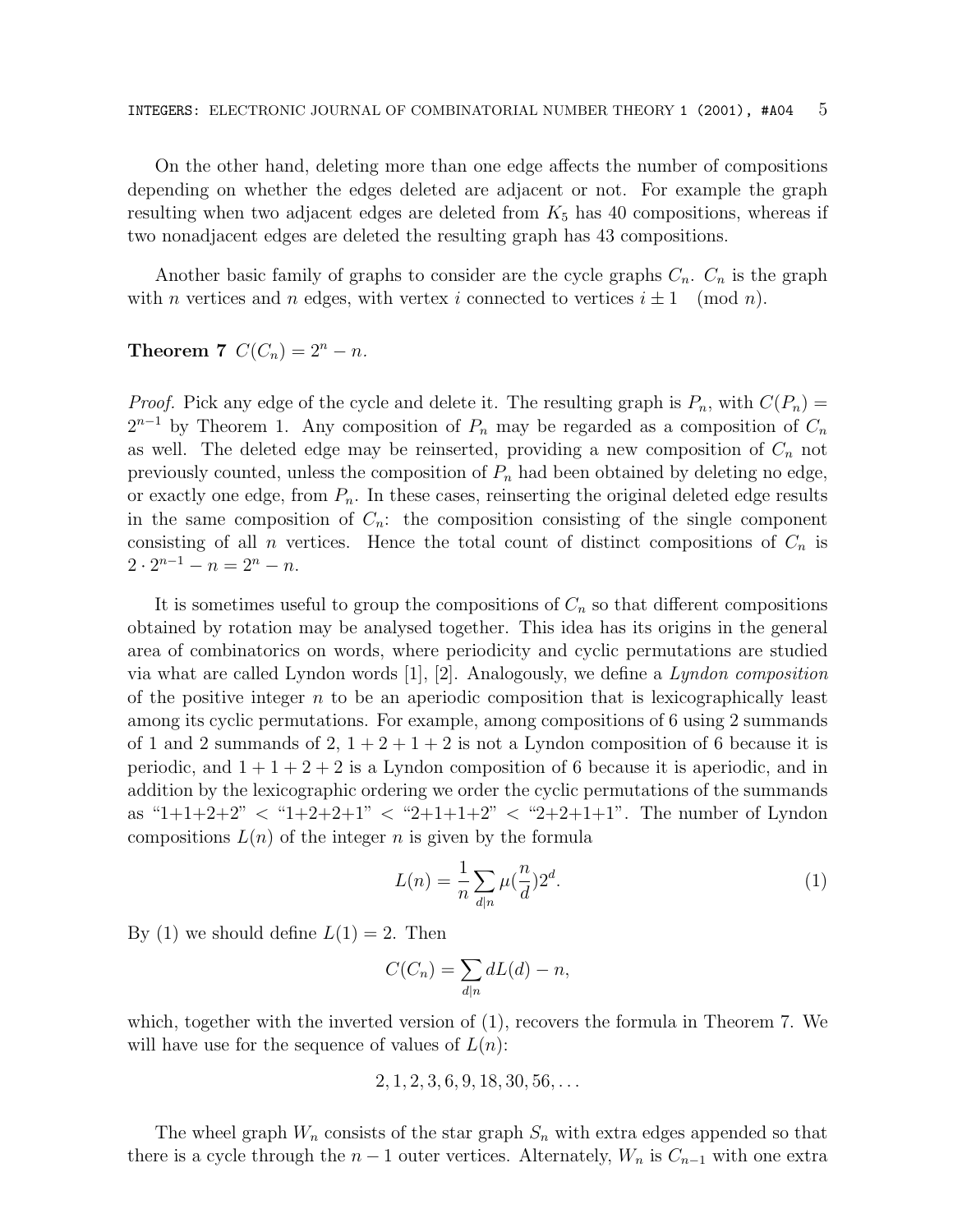On the other hand, deleting more than one edge affects the number of compositions depending on whether the edges deleted are adjacent or not. For example the graph resulting when two adjacent edges are deleted from  $K_5$  has 40 compositions, whereas if two nonadjacent edges are deleted the resulting graph has 43 compositions.

Another basic family of graphs to consider are the cycle graphs  $C_n$ .  $C_n$  is the graph with *n* vertices and *n* edges, with vertex *i* connected to vertices  $i \pm 1 \pmod{n}$ .

# **Theorem 7**  $C(C_n)=2^n - n$ .

*Proof.* Pick any edge of the cycle and delete it. The resulting graph is  $P_n$ , with  $C(P_n)$  =  $2^{n-1}$  by Theorem 1. Any composition of  $P_n$  may be regarded as a composition of  $C_n$ as well. The deleted edge may be reinserted, providing a new composition of  $C_n$  not previously counted, unless the composition of  $P_n$  had been obtained by deleting no edge, or exactly one edge, from  $P_n$ . In these cases, reinserting the original deleted edge results in the same composition of  $C_n$ : the composition consisting of the single component consisting of all *n* vertices. Hence the total count of distinct compositions of  $C_n$  is  $2 \cdot 2^{n-1} - n = 2^n - n$ .

It is sometimes useful to group the compositions of  $C_n$  so that different compositions obtained by rotation may be analysed together. This idea has its origins in the general area of combinatorics on words, where periodicity and cyclic permutations are studied via what are called Lyndon words  $[1], [2]$ . Analogously, we define a Lyndon composition of the positive integer  $n$  to be an aperiodic composition that is lexicographically least among its cyclic permutations. For example, among compositions of 6 using 2 summands of 1 and 2 summands of 2,  $1+2+1+2$  is not a Lyndon composition of 6 because it is periodic, and  $1 + 1 + 2 + 2$  is a Lyndon composition of 6 because it is aperiodic, and in addition by the lexicographic ordering we order the cyclic permutations of the summands as " $1+1+2+2$ "  $\lt$  " $1+2+2+1$ "  $\lt$  " $2+1+1+2$ "  $\lt$  " $2+2+1+1$ ". The number of Lyndon compositions  $L(n)$  of the integer n is given by the formula

$$
L(n) = \frac{1}{n} \sum_{d|n} \mu\left(\frac{n}{d}\right) 2^d. \tag{1}
$$

By (1) we should define  $L(1) = 2$ . Then

$$
C(C_n) = \sum_{d|n} dL(d) - n,
$$

which, together with the inverted version of (1), recovers the formula in Theorem 7. We will have use for the sequence of values of  $L(n)$ :

$$
2, 1, 2, 3, 6, 9, 18, 30, 56, \ldots
$$

The wheel graph  $W_n$  consists of the star graph  $S_n$  with extra edges appended so that there is a cycle through the  $n-1$  outer vertices. Alternately,  $W_n$  is  $C_{n-1}$  with one extra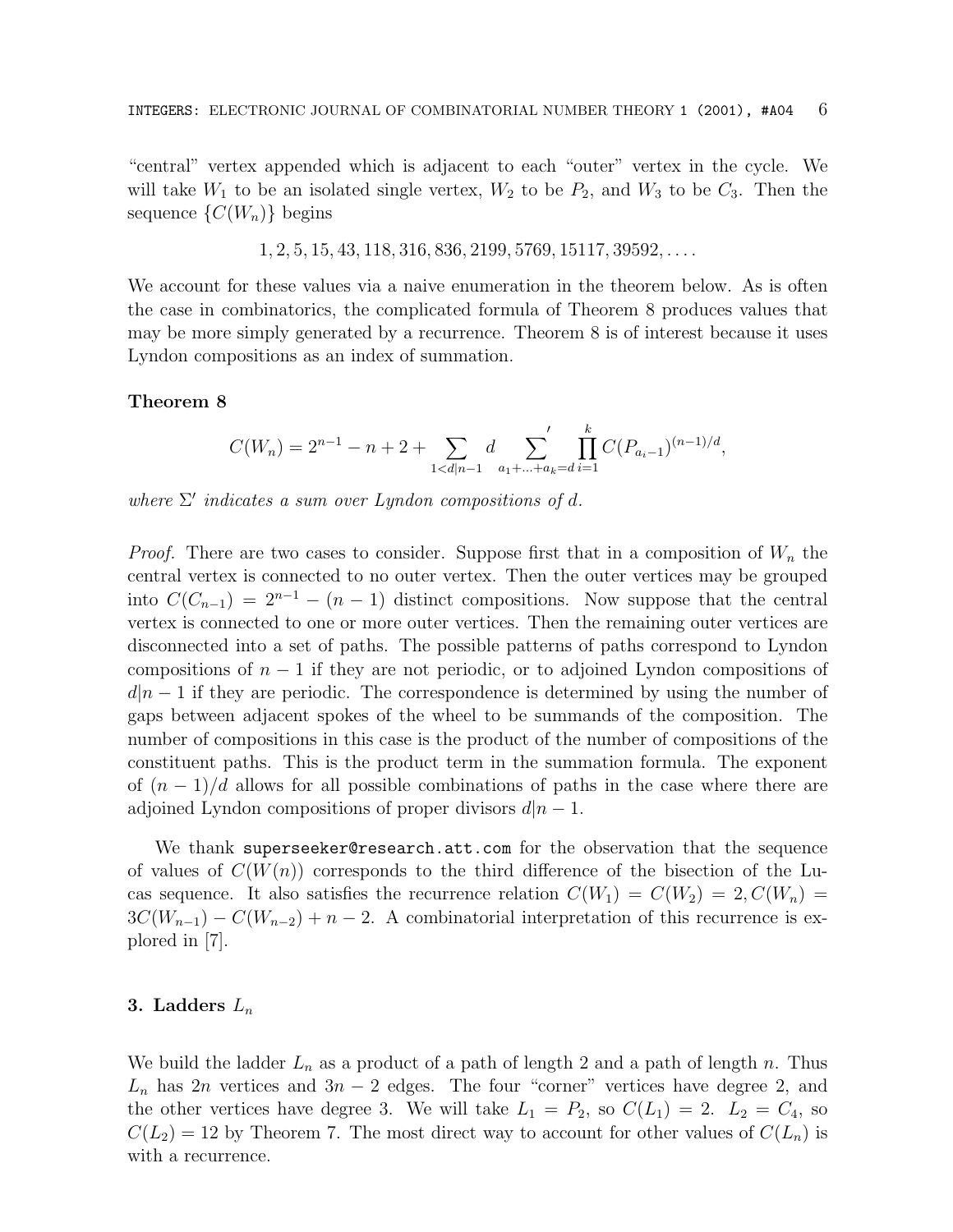"central" vertex appended which is adjacent to each "outer" vertex in the cycle. We will take  $W_1$  to be an isolated single vertex,  $W_2$  to be  $P_2$ , and  $W_3$  to be  $C_3$ . Then the sequence  $\{C(W_n)\}\$ begins

 $1, 2, 5, 15, 43, 118, 316, 836, 2199, 5769, 15117, 39592, \ldots$ 

We account for these values via a naive enumeration in the theorem below. As is often the case in combinatorics, the complicated formula of Theorem 8 produces values that may be more simply generated by a recurrence. Theorem 8 is of interest because it uses Lyndon compositions as an index of summation.

### **Theorem 8**

$$
C(W_n) = 2^{n-1} - n + 2 + \sum_{1 < d|n-1} d \sum_{a_1 + \dots + a_k = d} \prod_{i=1}^k C(P_{a_i-1})^{(n-1)/d},
$$

where  $\Sigma'$  indicates a sum over Lyndon compositions of d.

*Proof.* There are two cases to consider. Suppose first that in a composition of  $W_n$  the central vertex is connected to no outer vertex. Then the outer vertices may be grouped into  $C(C_{n-1})=2^{n-1} - (n-1)$  distinct compositions. Now suppose that the central vertex is connected to one or more outer vertices. Then the remaining outer vertices are disconnected into a set of paths. The possible patterns of paths correspond to Lyndon compositions of  $n-1$  if they are not periodic, or to adjoined Lyndon compositions of  $d|n-1$  if they are periodic. The correspondence is determined by using the number of gaps between adjacent spokes of the wheel to be summands of the composition. The number of compositions in this case is the product of the number of compositions of the constituent paths. This is the product term in the summation formula. The exponent of  $(n-1)/d$  allows for all possible combinations of paths in the case where there are adjoined Lyndon compositions of proper divisors  $d|n-1$ .

We thank superseeker@research.att.com for the observation that the sequence of values of  $C(W(n))$  corresponds to the third difference of the bisection of the Lucas sequence. It also satisfies the recurrence relation  $C(W_1) = C(W_2) = 2, C(W_n) =$  $3C(W_{n-1}) - C(W_{n-2}) + n - 2$ . A combinatorial interpretation of this recurrence is explored in [7].

# **3. Ladders** L<sup>n</sup>

We build the ladder  $L_n$  as a product of a path of length 2 and a path of length n. Thus  $L_n$  has 2n vertices and 3n − 2 edges. The four "corner" vertices have degree 2, and the other vertices have degree 3. We will take  $L_1 = P_2$ , so  $C(L_1) = 2$ .  $L_2 = C_4$ , so  $C(L_2) = 12$  by Theorem 7. The most direct way to account for other values of  $C(L_n)$  is with a recurrence.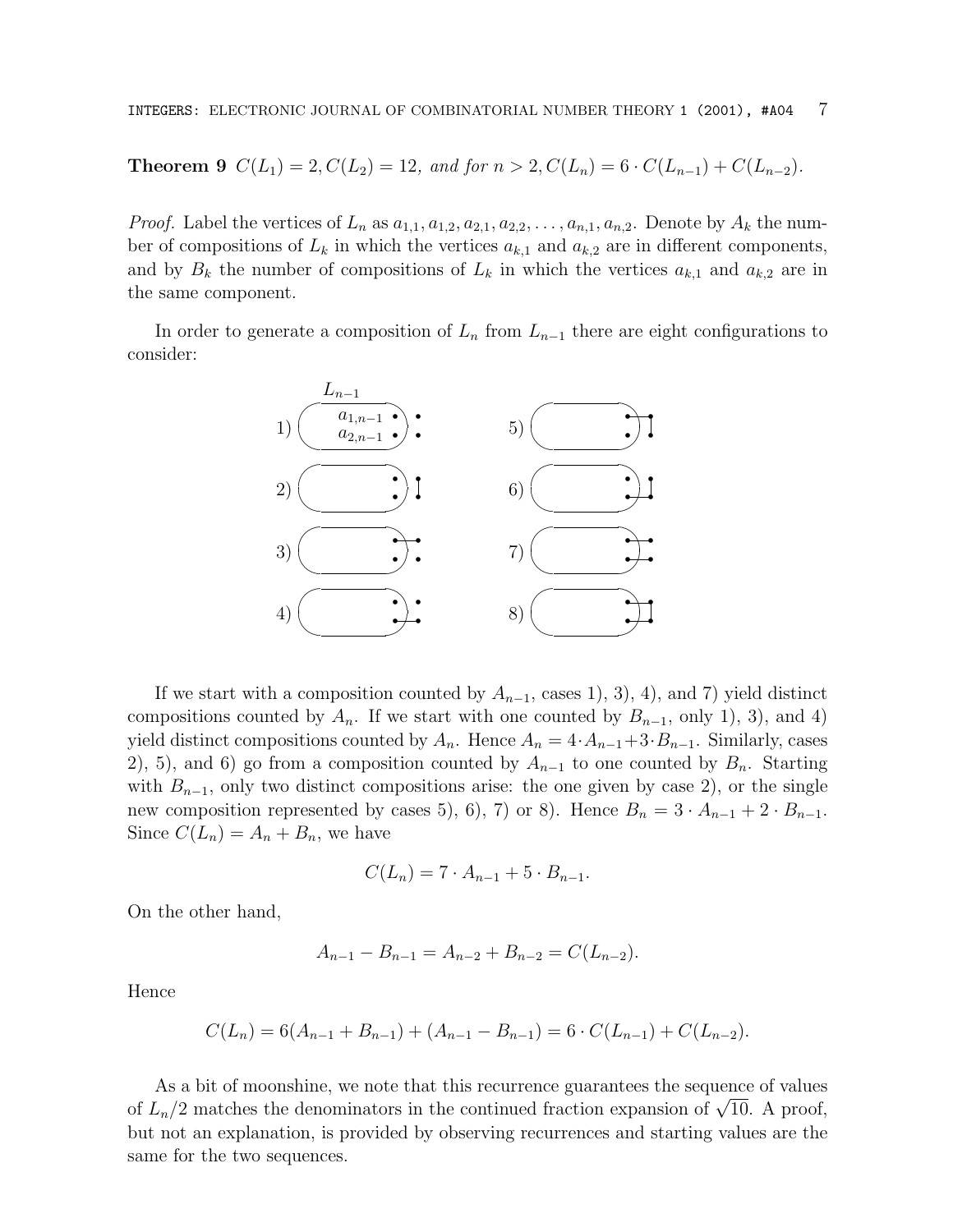# **Theorem 9**  $C(L_1) = 2, C(L_2) = 12,$  and for  $n > 2, C(L_n) = 6 \cdot C(L_{n-1}) + C(L_{n-2}).$

*Proof.* Label the vertices of  $L_n$  as  $a_{1,1}, a_{1,2}, a_{2,1}, a_{2,2}, \ldots, a_{n,1}, a_{n,2}$ . Denote by  $A_k$  the number of compositions of  $L_k$  in which the vertices  $a_{k,1}$  and  $a_{k,2}$  are in different components, and by  $B_k$  the number of compositions of  $L_k$  in which the vertices  $a_{k,1}$  and  $a_{k,2}$  are in the same component.

In order to generate a composition of  $L_n$  from  $L_{n-1}$  there are eight configurations to consider:



If we start with a composition counted by  $A_{n-1}$ , cases 1), 3), 4), and 7) yield distinct compositions counted by  $A_n$ . If we start with one counted by  $B_{n-1}$ , only 1), 3), and 4) yield distinct compositions counted by  $A_n$ . Hence  $A_n = 4 \cdot A_{n-1} + 3 \cdot B_{n-1}$ . Similarly, cases 2), 5), and 6) go from a composition counted by  $A_{n-1}$  to one counted by  $B_n$ . Starting with  $B_{n-1}$ , only two distinct compositions arise: the one given by case 2), or the single new composition represented by cases 5), 6), 7) or 8). Hence  $B_n = 3 \cdot A_{n-1} + 2 \cdot B_{n-1}$ . Since  $C(L_n) = A_n + B_n$ , we have

$$
C(L_n) = 7 \cdot A_{n-1} + 5 \cdot B_{n-1}.
$$

On the other hand,

$$
A_{n-1} - B_{n-1} = A_{n-2} + B_{n-2} = C(L_{n-2}).
$$

Hence

$$
C(L_n) = 6(A_{n-1} + B_{n-1}) + (A_{n-1} - B_{n-1}) = 6 \cdot C(L_{n-1}) + C(L_{n-2}).
$$

As a bit of moonshine, we note that this recurrence guarantees the sequence of values of  $L_n/2$  matches the denominators in the continued fraction expansion of  $\sqrt{10}$ . A proof, but not an explanation, is provided by observing recurrences and starting values are the same for the two sequences.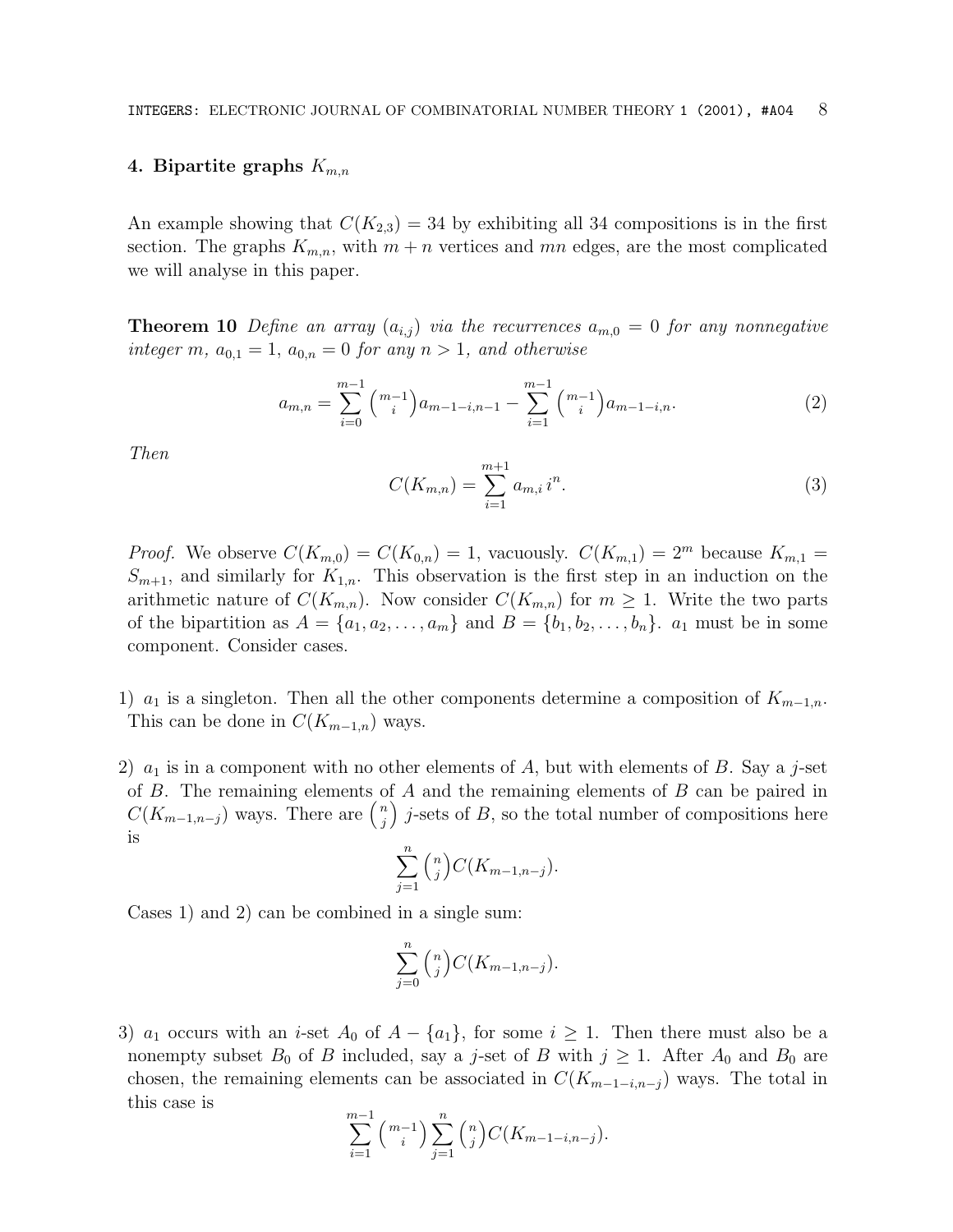#### 4. Bipartite graphs  $K_{m,n}$

An example showing that  $C(K_{2,3}) = 34$  by exhibiting all 34 compositions is in the first section. The graphs  $K_{m,n}$ , with  $m+n$  vertices and mn edges, are the most complicated we will analyse in this paper.

**Theorem 10** Define an array  $(a_{i,j})$  via the recurrences  $a_{m,0} = 0$  for any nonnegative integer m,  $a_{0,1} = 1$ ,  $a_{0,n} = 0$  for any  $n > 1$ , and otherwise

$$
a_{m,n} = \sum_{i=0}^{m-1} \binom{m-1}{i} a_{m-1-i,n-1} - \sum_{i=1}^{m-1} \binom{m-1}{i} a_{m-1-i,n}.
$$
 (2)

Then

$$
C(K_{m,n}) = \sum_{i=1}^{m+1} a_{m,i} i^n.
$$
 (3)

*Proof.* We observe  $C(K_{m,0}) = C(K_{0,n}) = 1$ , vacuously.  $C(K_{m,1}) = 2^m$  because  $K_{m,1} =$  $S_{m+1}$ , and similarly for  $K_{1,n}$ . This observation is the first step in an induction on the arithmetic nature of  $C(K_{m,n})$ . Now consider  $C(K_{m,n})$  for  $m \geq 1$ . Write the two parts of the bipartition as  $A = \{a_1, a_2, \ldots, a_m\}$  and  $B = \{b_1, b_2, \ldots, b_n\}$ .  $a_1$  must be in some component. Consider cases.

1)  $a_1$  is a singleton. Then all the other components determine a composition of  $K_{m-1,n}$ . This can be done in  $C(K_{m-1,n})$  ways.

2)  $a_1$  is in a component with no other elements of A, but with elements of B. Say a j-set of B. The remaining elements of A and the remaining elements of B can be paired in  $C(K_{m-1,n-j})$  ways. There are  $\binom{n}{j}$ )  $j$ -sets of  $B$ , so the total number of compositions here is

$$
\sum_{j=1}^{n} \binom{n}{j} C(K_{m-1,n-j}).
$$

Cases 1) and 2) can be combined in a single sum:

$$
\sum_{j=0}^{n} \binom{n}{j} C(K_{m-1,n-j}).
$$

3)  $a_1$  occurs with an *i*-set  $A_0$  of  $A - \{a_1\}$ , for some  $i \geq 1$ . Then there must also be a nonempty subset  $B_0$  of B included, say a j-set of B with  $j \ge 1$ . After  $A_0$  and  $B_0$  are chosen, the remaining elements can be associated in  $C(K_{m-1-i,n-j})$  ways. The total in this case is <sup>m</sup>

$$
\sum_{i=1}^{m-1} {m-1 \choose i} \sum_{j=1}^{n} {n \choose j} C(K_{m-1-i,n-j}).
$$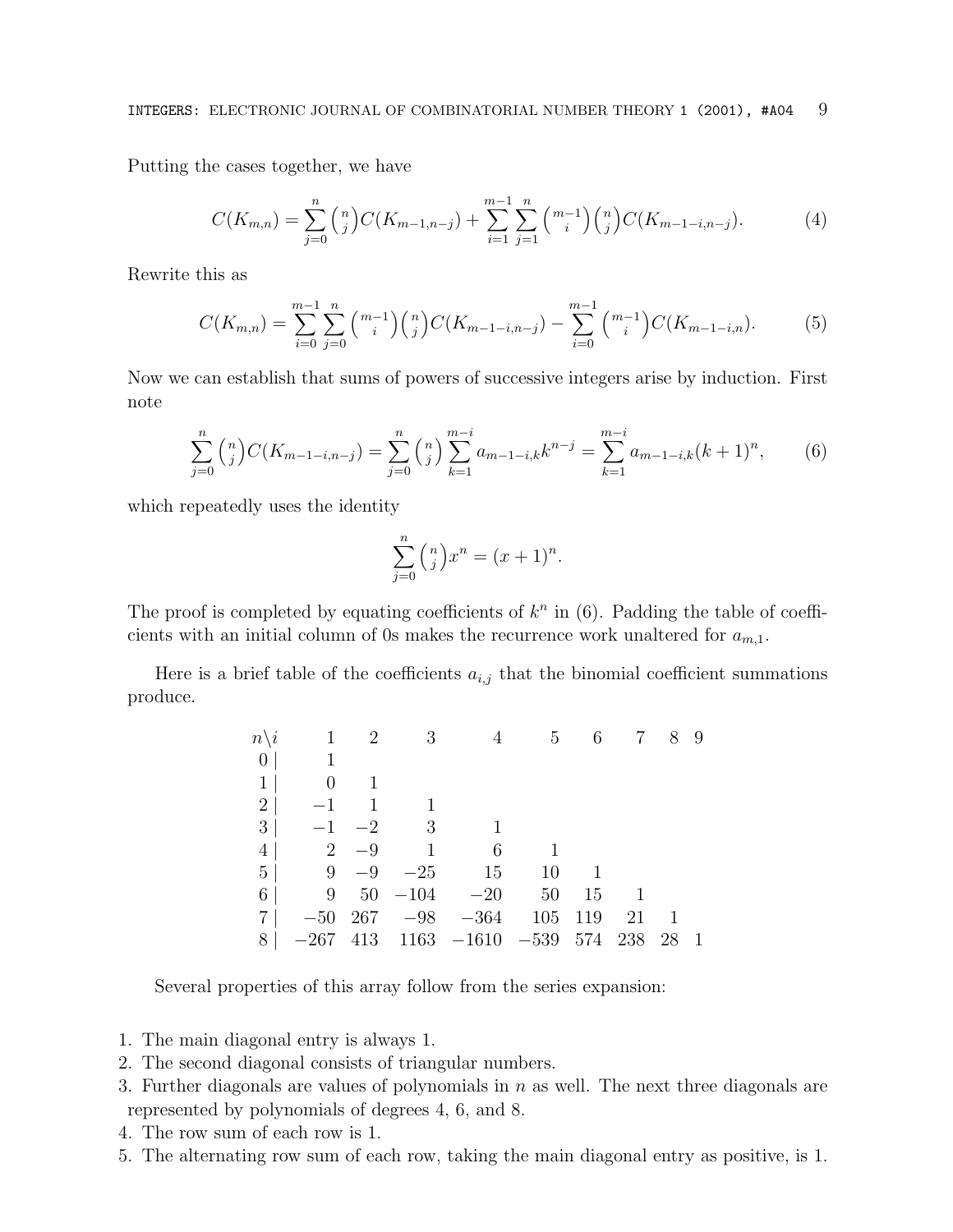Putting the cases together, we have

$$
C(K_{m,n}) = \sum_{j=0}^{n} {n \choose j} C(K_{m-1,n-j}) + \sum_{i=1}^{m-1} \sum_{j=1}^{n} {m-1 \choose i} {n \choose j} C(K_{m-1-i,n-j}). \tag{4}
$$

Rewrite this as

$$
C(K_{m,n}) = \sum_{i=0}^{m-1} \sum_{j=0}^{n} \binom{m-1}{i} \binom{n}{j} C(K_{m-1-i,n-j}) - \sum_{i=0}^{m-1} \binom{m-1}{i} C(K_{m-1-i,n}).
$$
 (5)

Now we can establish that sums of powers of successive integers arise by induction. First note

$$
\sum_{j=0}^{n} \binom{n}{j} C(K_{m-1-i,n-j}) = \sum_{j=0}^{n} \binom{n}{j} \sum_{k=1}^{m-i} a_{m-1-i,k} k^{n-j} = \sum_{k=1}^{m-i} a_{m-1-i,k} (k+1)^n, \tag{6}
$$

which repeatedly uses the identity

$$
\sum_{j=0}^{n} \binom{n}{j} x^{n} = (x+1)^{n}.
$$

The proof is completed by equating coefficients of  $k^n$  in (6). Padding the table of coefficients with an initial column of 0s makes the recurrence work unaltered for  $a_{m,1}$ .

Here is a brief table of the coefficients  $a_{i,j}$  that the binomial coefficient summations produce.

|          |                             |  | $n\backslash i$ 1 2 3 4 5 6 7 8 9    |         |              |      |  |
|----------|-----------------------------|--|--------------------------------------|---------|--------------|------|--|
|          | $0 \mid 1$                  |  |                                      |         |              |      |  |
| $1\vert$ | $0 \t 1$                    |  |                                      |         |              |      |  |
|          | $2  -1 1 1$                 |  |                                      |         |              |      |  |
|          | $3  -1 -2 3$                |  |                                      |         |              |      |  |
|          | $4 \mid 2 \quad -9 \quad 1$ |  | $\sim$ 6                             |         |              |      |  |
|          |                             |  | $5 \vert 9 -9 -25 15 10 1$           |         |              |      |  |
|          |                             |  | 6   9 $50 -104 -20 50$               |         | 15 1         |      |  |
|          |                             |  | $7  -50 267 -98 -364$                | 105 119 | $21 \quad 1$ |      |  |
|          |                             |  | $8$ -267 413 1163 -1610 -539 574 238 |         |              | - 28 |  |

Several properties of this array follow from the series expansion:

- 1. The main diagonal entry is always 1.
- 2. The second diagonal consists of triangular numbers.
- 3. Further diagonals are values of polynomials in  $n$  as well. The next three diagonals are represented by polynomials of degrees 4, 6, and 8.
- 4. The row sum of each row is 1.
- 5. The alternating row sum of each row, taking the main diagonal entry as positive, is 1.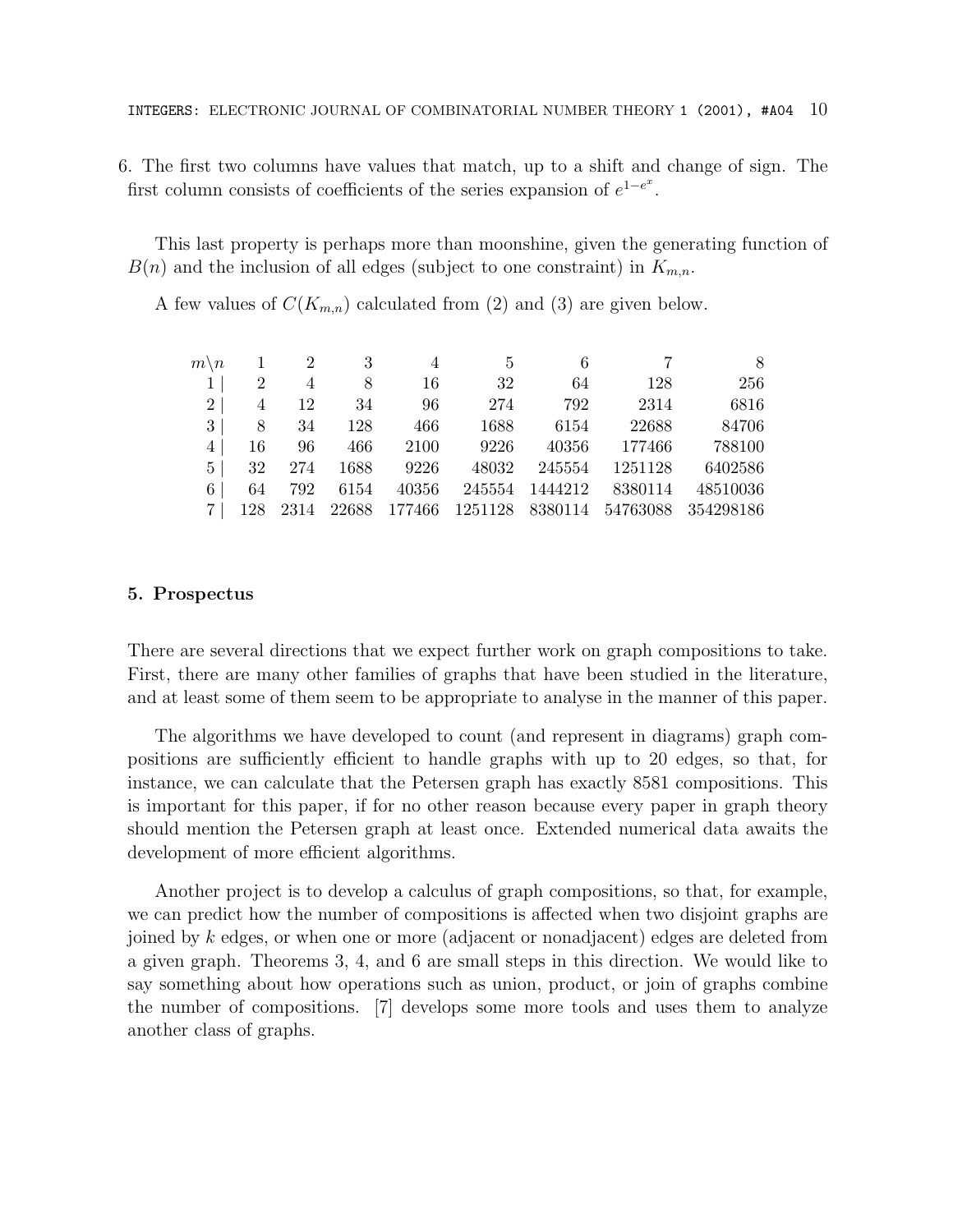6. The first two columns have values that match, up to a shift and change of sign. The first column consists of coefficients of the series expansion of  $e^{1-e^x}$ .

This last property is perhaps more than moonshine, given the generating function of  $B(n)$  and the inclusion of all edges (subject to one constraint) in  $K_{m,n}$ .

A few values of  $C(K_{m,n})$  calculated from (2) and (3) are given below.

| $m \backslash n$ |     | $\overline{2}$ |       |        | 5       |         |                  |           |
|------------------|-----|----------------|-------|--------|---------|---------|------------------|-----------|
|                  | 2   | 4              | 8     | 16     | 32      | 64      | 128              | 256       |
| $2^{\circ}$      | 4   | 12             | 34    | 96     | 274     | 792     | 2314             | 6816      |
| 3                | 8   | 34             | 128   | 466    | 1688    | 6154    | 22688            | 84706     |
| 4                | 16  | 96             | 466   | 2100   | 9226    | 40356   | 177466           | 788100    |
| 5 <sup>1</sup>   | 32  | 274            | 1688  | 9226   | 48032   | 245554  | 1251128          | 6402586   |
| 6                | 64  | 792            | 6154  | 40356  | 245554  | 1444212 | 8380114          | 48510036  |
|                  | 128 | 2314           | 22688 | 177466 | 1251128 |         | 8380114 54763088 | 354298186 |

### **5. Prospectus**

There are several directions that we expect further work on graph compositions to take. First, there are many other families of graphs that have been studied in the literature, and at least some of them seem to be appropriate to analyse in the manner of this paper.

The algorithms we have developed to count (and represent in diagrams) graph compositions are sufficiently efficient to handle graphs with up to 20 edges, so that, for instance, we can calculate that the Petersen graph has exactly 8581 compositions. This is important for this paper, if for no other reason because every paper in graph theory should mention the Petersen graph at least once. Extended numerical data awaits the development of more efficient algorithms.

Another project is to develop a calculus of graph compositions, so that, for example, we can predict how the number of compositions is affected when two disjoint graphs are joined by k edges, or when one or more (adjacent or nonadjacent) edges are deleted from a given graph. Theorems 3, 4, and 6 are small steps in this direction. We would like to say something about how operations such as union, product, or join of graphs combine the number of compositions. [7] develops some more tools and uses them to analyze another class of graphs.